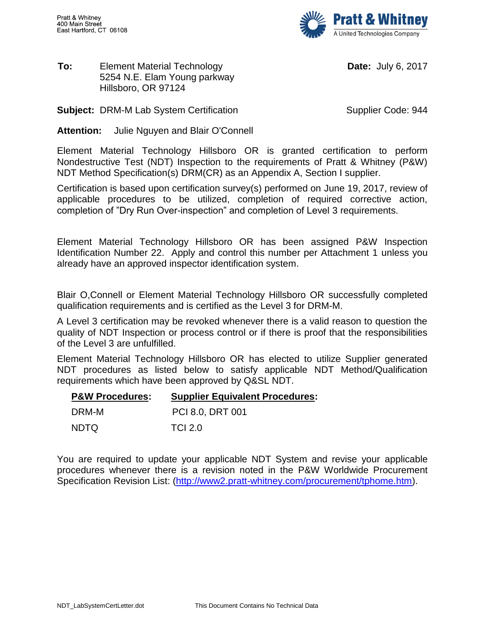

## **To:** Element Material Technology 5254 N.E. Elam Young parkway Hillsboro, OR 97124

**Date:** July 6, 2017

**Subject:** DRM-M Lab System Certification Supplier Code: 944

**Attention:** Julie Nguyen and Blair O'Connell

Element Material Technology Hillsboro OR is granted certification to perform Nondestructive Test (NDT) Inspection to the requirements of Pratt & Whitney (P&W) NDT Method Specification(s) DRM(CR) as an Appendix A, Section I supplier.

Certification is based upon certification survey(s) performed on June 19, 2017, review of applicable procedures to be utilized, completion of required corrective action, completion of "Dry Run Over-inspection" and completion of Level 3 requirements.

Element Material Technology Hillsboro OR has been assigned P&W Inspection Identification Number 22. Apply and control this number per Attachment 1 unless you already have an approved inspector identification system.

Blair O,Connell or Element Material Technology Hillsboro OR successfully completed qualification requirements and is certified as the Level 3 for DRM-M.

A Level 3 certification may be revoked whenever there is a valid reason to question the quality of NDT Inspection or process control or if there is proof that the responsibilities of the Level 3 are unfulfilled.

Element Material Technology Hillsboro OR has elected to utilize Supplier generated NDT procedures as listed below to satisfy applicable NDT Method/Qualification requirements which have been approved by Q&SL NDT.

| <b>P&amp;W Procedures:</b> | <b>Supplier Equivalent Procedures:</b> |
|----------------------------|----------------------------------------|
| DRM-M                      | PCI 8.0, DRT 001                       |
| <b>NDTQ</b>                | <b>TCI 2.0</b>                         |

You are required to update your applicable NDT System and revise your applicable procedures whenever there is a revision noted in the P&W Worldwide Procurement Specification Revision List: [\(http://www2.pratt-whitney.com/procurement/tphome.htm\)](http://www2.pratt-whitney.com/procurement/tphome.htm).